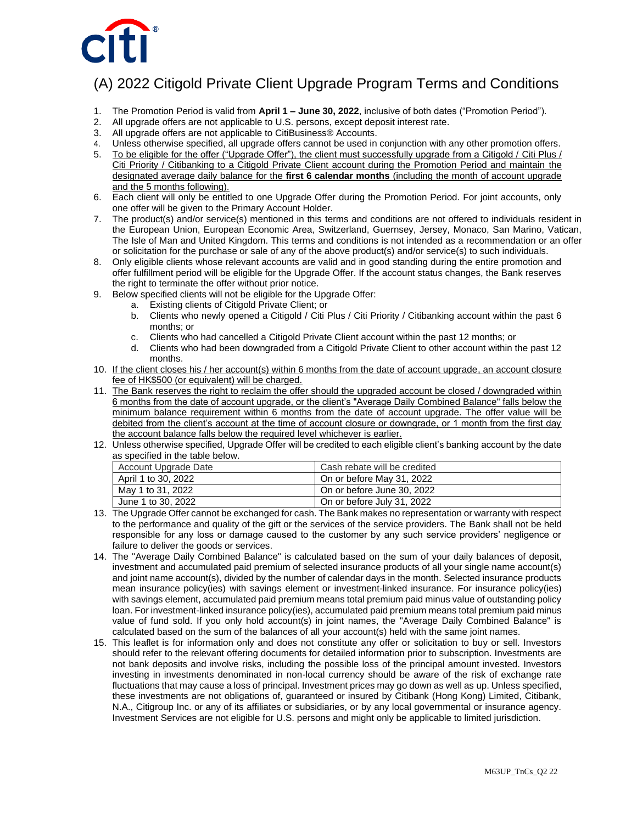

## (A) 2022 Citigold Private Client Upgrade Program Terms and Conditions

- 1. The Promotion Period is valid from **April 1 – June 30, 2022**, inclusive of both dates ("Promotion Period").
- 2. All upgrade offers are not applicable to U.S. persons, except deposit interest rate.
- 3. All upgrade offers are not applicable to CitiBusiness® Accounts.
- 4. Unless otherwise specified, all upgrade offers cannot be used in conjunction with any other promotion offers.
- 5. To be eligible for the offer ("Upgrade Offer"), the client must successfully upgrade from a Citigold / Citi Plus / Citi Priority / Citibanking to a Citigold Private Client account during the Promotion Period and maintain the designated average daily balance for the **first 6 calendar months** (including the month of account upgrade and the 5 months following).
- 6. Each client will only be entitled to one Upgrade Offer during the Promotion Period. For joint accounts, only one offer will be given to the Primary Account Holder.
- 7. The product(s) and/or service(s) mentioned in this terms and conditions are not offered to individuals resident in the European Union, European Economic Area, Switzerland, Guernsey, Jersey, Monaco, San Marino, Vatican, The Isle of Man and United Kingdom. This terms and conditions is not intended as a recommendation or an offer or solicitation for the purchase or sale of any of the above product(s) and/or service(s) to such individuals.
- 8. Only eligible clients whose relevant accounts are valid and in good standing during the entire promotion and offer fulfillment period will be eligible for the Upgrade Offer. If the account status changes, the Bank reserves the right to terminate the offer without prior notice.
- 9. Below specified clients will not be eligible for the Upgrade Offer:
	- a. Existing clients of Citigold Private Client; or
	- b. Clients who newly opened a Citigold / Citi Plus / Citi Priority / Citibanking account within the past 6 months; or
	- c. Clients who had cancelled a Citigold Private Client account within the past 12 months; or
	- d. Clients who had been downgraded from a Citigold Private Client to other account within the past 12 months.
- 10. If the client closes his / her account(s) within 6 months from the date of account upgrade, an account closure fee of HK\$500 (or equivalent) will be charged.
- 11. The Bank reserves the right to reclaim the offer should the upgraded account be closed / downgraded within 6 months from the date of account upgrade, or the client's "Average Daily Combined Balance" falls below the minimum balance requirement within 6 months from the date of account upgrade. The offer value will be debited from the client's account at the time of account closure or downgrade, or 1 month from the first day the account balance falls below the required level whichever is earlier.
- 12. Unless otherwise specified, Upgrade Offer will be credited to each eligible client's banking account by the date as specified in the table below.

| Account Upgrade Date | Cash rebate will be credited |
|----------------------|------------------------------|
| April 1 to 30, 2022  | On or before May 31, 2022    |
| May 1 to 31, 2022    | On or before June 30, 2022   |
| June 1 to 30, 2022   | On or before July 31, 2022   |

- 13. The Upgrade Offer cannot be exchanged for cash. The Bank makes no representation or warranty with respect to the performance and quality of the gift or the services of the service providers. The Bank shall not be held responsible for any loss or damage caused to the customer by any such service providers' negligence or failure to deliver the goods or services.
- 14. The "Average Daily Combined Balance" is calculated based on the sum of your daily balances of deposit, investment and accumulated paid premium of selected insurance products of all your single name account(s) and joint name account(s), divided by the number of calendar days in the month. Selected insurance products mean insurance policy(ies) with savings element or investment-linked insurance. For insurance policy(ies) with savings element, accumulated paid premium means total premium paid minus value of outstanding policy loan. For investment-linked insurance policy(ies), accumulated paid premium means total premium paid minus value of fund sold. If you only hold account(s) in joint names, the "Average Daily Combined Balance" is calculated based on the sum of the balances of all your account(s) held with the same joint names.
- 15. This leaflet is for information only and does not constitute any offer or solicitation to buy or sell. Investors should refer to the relevant offering documents for detailed information prior to subscription. Investments are not bank deposits and involve risks, including the possible loss of the principal amount invested. Investors investing in investments denominated in non-local currency should be aware of the risk of exchange rate fluctuations that may cause a loss of principal. Investment prices may go down as well as up. Unless specified, these investments are not obligations of, guaranteed or insured by Citibank (Hong Kong) Limited, Citibank, N.A., Citigroup Inc. or any of its affiliates or subsidiaries, or by any local governmental or insurance agency. Investment Services are not eligible for U.S. persons and might only be applicable to limited jurisdiction.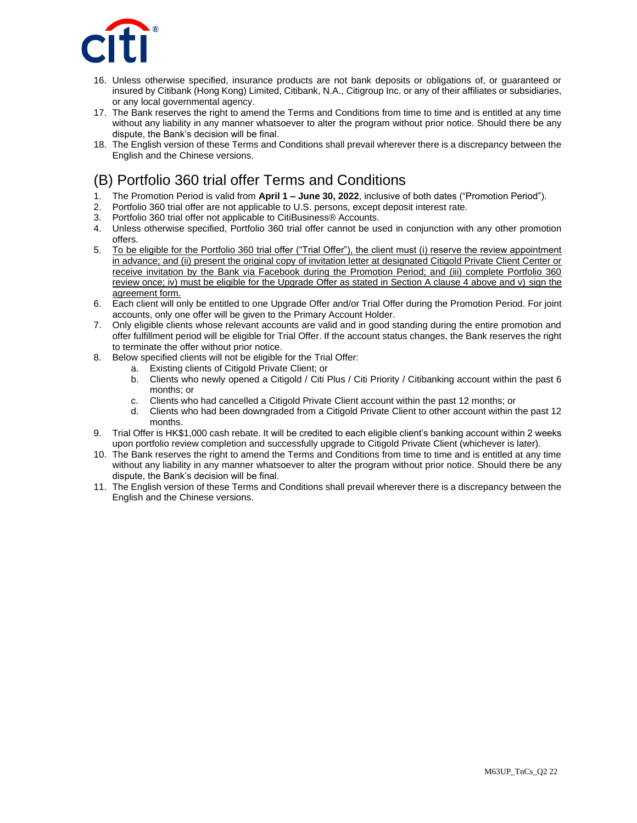

- 16. Unless otherwise specified, insurance products are not bank deposits or obligations of, or guaranteed or insured by Citibank (Hong Kong) Limited, Citibank, N.A., Citigroup Inc. or any of their affiliates or subsidiaries, or any local governmental agency.
- 17. The Bank reserves the right to amend the Terms and Conditions from time to time and is entitled at any time without any liability in any manner whatsoever to alter the program without prior notice. Should there be any dispute, the Bank's decision will be final.
- 18. The English version of these Terms and Conditions shall prevail wherever there is a discrepancy between the English and the Chinese versions.

# (B) Portfolio 360 trial offer Terms and Conditions

- 1. The Promotion Period is valid from **April 1 – June 30, 2022**, inclusive of both dates ("Promotion Period").
- 2. Portfolio 360 trial offer are not applicable to U.S. persons, except deposit interest rate.
- 3. Portfolio 360 trial offer not applicable to CitiBusiness® Accounts.
- 4. Unless otherwise specified, Portfolio 360 trial offer cannot be used in conjunction with any other promotion offers.
- 5. To be eligible for the Portfolio 360 trial offer ("Trial Offer"), the client must (i) reserve the review appointment in advance; and (ii) present the original copy of invitation letter at designated Citigold Private Client Center or receive invitation by the Bank via Facebook during the Promotion Period; and (iii) complete Portfolio 360 review once; iv) must be eligible for the Upgrade Offer as stated in Section A clause 4 above and v) sign the agreement form.
- 6. Each client will only be entitled to one Upgrade Offer and/or Trial Offer during the Promotion Period. For joint accounts, only one offer will be given to the Primary Account Holder.
- 7. Only eligible clients whose relevant accounts are valid and in good standing during the entire promotion and offer fulfillment period will be eligible for Trial Offer. If the account status changes, the Bank reserves the right to terminate the offer without prior notice.
- 8. Below specified clients will not be eligible for the Trial Offer:
	- a. Existing clients of Citigold Private Client; or
		- b. Clients who newly opened a Citigold / Citi Plus / Citi Priority / Citibanking account within the past 6 months; or
		- c. Clients who had cancelled a Citigold Private Client account within the past 12 months; or
		- d. Clients who had been downgraded from a Citigold Private Client to other account within the past 12 months.
- 9. Trial Offer is HK\$1,000 cash rebate. It will be credited to each eligible client's banking account within 2 weeks upon portfolio review completion and successfully upgrade to Citigold Private Client (whichever is later).
- 10. The Bank reserves the right to amend the Terms and Conditions from time to time and is entitled at any time without any liability in any manner whatsoever to alter the program without prior notice. Should there be any dispute, the Bank's decision will be final.
- 11. The English version of these Terms and Conditions shall prevail wherever there is a discrepancy between the English and the Chinese versions.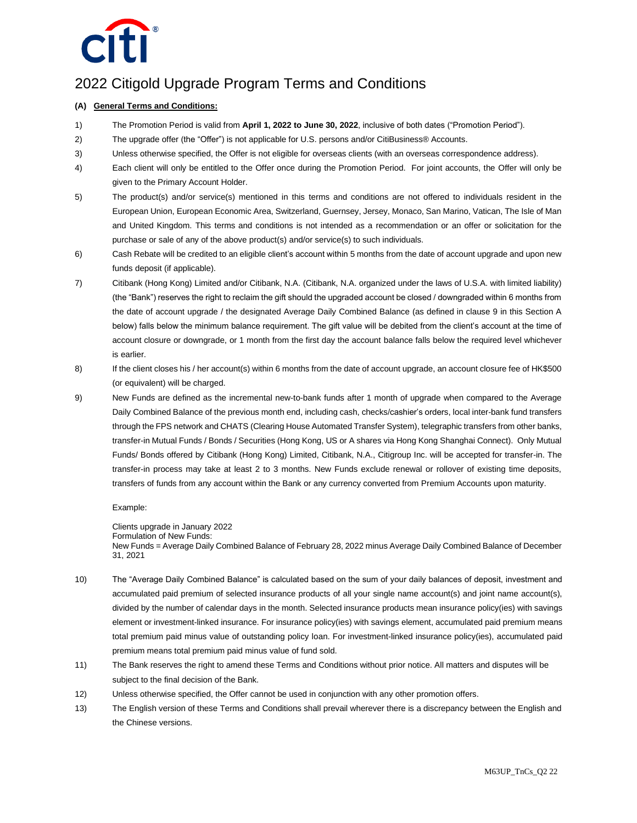

### 2022 Citigold Upgrade Program Terms and Conditions

#### **(A) General Terms and Conditions:**

- 1) The Promotion Period is valid from **April 1, 2022 to June 30, 2022**, inclusive of both dates ("Promotion Period").
- 2) The upgrade offer (the "Offer") is not applicable for U.S. persons and/or CitiBusiness® Accounts.
- 3) Unless otherwise specified, the Offer is not eligible for overseas clients (with an overseas correspondence address).
- 4) Each client will only be entitled to the Offer once during the Promotion Period. For joint accounts, the Offer will only be given to the Primary Account Holder.
- 5) The product(s) and/or service(s) mentioned in this terms and conditions are not offered to individuals resident in the European Union, European Economic Area, Switzerland, Guernsey, Jersey, Monaco, San Marino, Vatican, The Isle of Man and United Kingdom. This terms and conditions is not intended as a recommendation or an offer or solicitation for the purchase or sale of any of the above product(s) and/or service(s) to such individuals.
- 6) Cash Rebate will be credited to an eligible client's account within 5 months from the date of account upgrade and upon new funds deposit (if applicable).
- 7) Citibank (Hong Kong) Limited and/or Citibank, N.A. (Citibank, N.A. organized under the laws of U.S.A. with limited liability) (the "Bank") reserves the right to reclaim the gift should the upgraded account be closed / downgraded within 6 months from the date of account upgrade / the designated Average Daily Combined Balance (as defined in clause 9 in this Section A below) falls below the minimum balance requirement. The gift value will be debited from the client's account at the time of account closure or downgrade, or 1 month from the first day the account balance falls below the required level whichever is earlier.
- 8) If the client closes his / her account(s) within 6 months from the date of account upgrade, an account closure fee of HK\$500 (or equivalent) will be charged.
- 9) New Funds are defined as the incremental new-to-bank funds after 1 month of upgrade when compared to the Average Daily Combined Balance of the previous month end, including cash, checks/cashier's orders, local inter-bank fund transfers through the FPS network and CHATS (Clearing House Automated Transfer System), telegraphic transfers from other banks, transfer-in Mutual Funds / Bonds / Securities (Hong Kong, US or A shares via Hong Kong Shanghai Connect). Only Mutual Funds/ Bonds offered by Citibank (Hong Kong) Limited, Citibank, N.A., Citigroup Inc. will be accepted for transfer-in. The transfer-in process may take at least 2 to 3 months. New Funds exclude renewal or rollover of existing time deposits, transfers of funds from any account within the Bank or any currency converted from Premium Accounts upon maturity.

#### Example:

Clients upgrade in January 2022

Formulation of New Funds: New Funds = Average Daily Combined Balance of February 28, 2022 minus Average Daily Combined Balance of December 31, 2021

- 10) The "Average Daily Combined Balance" is calculated based on the sum of your daily balances of deposit, investment and accumulated paid premium of selected insurance products of all your single name account(s) and joint name account(s), divided by the number of calendar days in the month. Selected insurance products mean insurance policy(ies) with savings element or investment-linked insurance. For insurance policy(ies) with savings element, accumulated paid premium means total premium paid minus value of outstanding policy loan. For investment-linked insurance policy(ies), accumulated paid premium means total premium paid minus value of fund sold.
- 11) The Bank reserves the right to amend these Terms and Conditions without prior notice. All matters and disputes will be subject to the final decision of the Bank.
- 12) Unless otherwise specified, the Offer cannot be used in conjunction with any other promotion offers.
- 13) The English version of these Terms and Conditions shall prevail wherever there is a discrepancy between the English and the Chinese versions.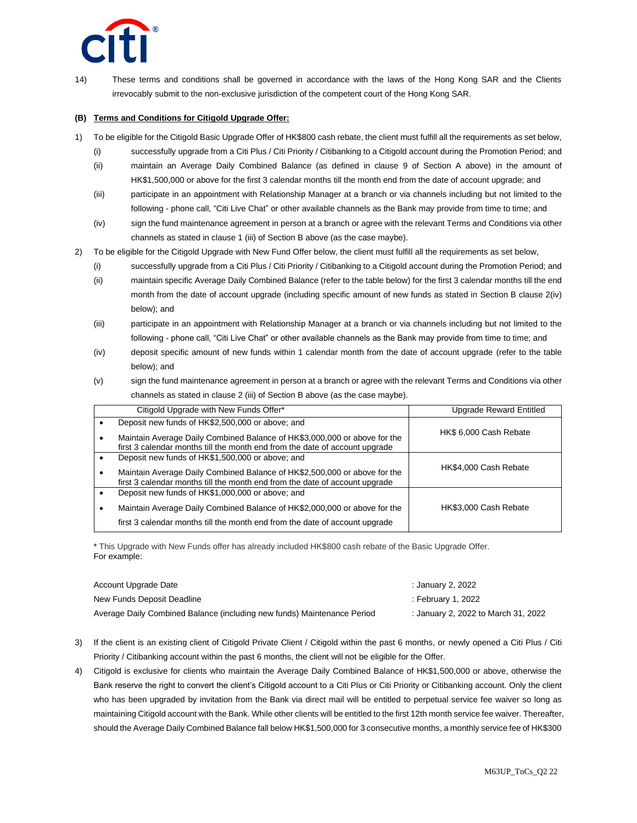

14) These terms and conditions shall be governed in accordance with the laws of the Hong Kong SAR and the Clients irrevocably submit to the non-exclusive jurisdiction of the competent court of the Hong Kong SAR.

#### **(B) Terms and Conditions for Citigold Upgrade Offer:**

- 1) To be eligible for the Citigold Basic Upgrade Offer of HK\$800 cash rebate, the client must fulfill all the requirements as set below,
	- (i) successfully upgrade from a Citi Plus / Citi Priority / Citibanking to a Citigold account during the Promotion Period; and
	- (ii) maintain an Average Daily Combined Balance (as defined in clause 9 of Section A above) in the amount of HK\$1,500,000 or above for the first 3 calendar months till the month end from the date of account upgrade; and
	- (iii) participate in an appointment with Relationship Manager at a branch or via channels including but not limited to the following - phone call, "Citi Live Chat" or other available channels as the Bank may provide from time to time; and
	- (iv) sign the fund maintenance agreement in person at a branch or agree with the relevant Terms and Conditions via other channels as stated in clause 1 (iii) of Section B above (as the case maybe).
- 2) To be eligible for the Citigold Upgrade with New Fund Offer below, the client must fulfill all the requirements as set below,
	- (i) successfully upgrade from a Citi Plus / Citi Priority / Citibanking to a Citigold account during the Promotion Period; and
	- (ii) maintain specific Average Daily Combined Balance (refer to the table below) for the first 3 calendar months till the end month from the date of account upgrade (including specific amount of new funds as stated in Section B clause 2(iv) below); and
	- (iii) participate in an appointment with Relationship Manager at a branch or via channels including but not limited to the following - phone call, "Citi Live Chat" or other available channels as the Bank may provide from time to time; and
	- (iv) deposit specific amount of new funds within 1 calendar month from the date of account upgrade (refer to the table below); and
	- (v) sign the fund maintenance agreement in person at a branch or agree with the relevant Terms and Conditions via other channels as stated in clause 2 (iii) of Section B above (as the case maybe).

| Citigold Upgrade with New Funds Offer*                                                                                                                   | Upgrade Reward Entitled |  |
|----------------------------------------------------------------------------------------------------------------------------------------------------------|-------------------------|--|
| Deposit new funds of HK\$2,500,000 or above; and                                                                                                         |                         |  |
| Maintain Average Daily Combined Balance of HK\$3,000,000 or above for the<br>first 3 calendar months till the month end from the date of account upgrade | HK\$ 6,000 Cash Rebate  |  |
| Deposit new funds of HK\$1,500,000 or above; and                                                                                                         |                         |  |
| Maintain Average Daily Combined Balance of HK\$2,500,000 or above for the<br>first 3 calendar months till the month end from the date of account upgrade | HK\$4,000 Cash Rebate   |  |
| Deposit new funds of HK\$1,000,000 or above; and                                                                                                         |                         |  |
| Maintain Average Daily Combined Balance of HK\$2,000,000 or above for the                                                                                | HK\$3,000 Cash Rebate   |  |
| first 3 calendar months till the month end from the date of account upgrade                                                                              |                         |  |

\* This Upgrade with New Funds offer has already included HK\$800 cash rebate of the Basic Upgrade Offer. For example:

| Account Upgrade Date                                                    | : January 2, 2022                   |
|-------------------------------------------------------------------------|-------------------------------------|
| New Funds Deposit Deadline                                              | February 1, 2022:                   |
| Average Daily Combined Balance (including new funds) Maintenance Period | : January 2, 2022 to March 31, 2022 |

- 3) If the client is an existing client of Citigold Private Client / Citigold within the past 6 months, or newly opened a Citi Plus / Citi Priority / Citibanking account within the past 6 months, the client will not be eligible for the Offer.
- 4) Citigold is exclusive for clients who maintain the Average Daily Combined Balance of HK\$1,500,000 or above, otherwise the Bank reserve the right to convert the client's Citigold account to a Citi Plus or Citi Priority or Citibanking account. Only the client who has been upgraded by invitation from the Bank via direct mail will be entitled to perpetual service fee waiver so long as maintaining Citigold account with the Bank. While other clients will be entitled to the first 12th month service fee waiver. Thereafter, should the Average Daily Combined Balance fall below HK\$1,500,000 for 3 consecutive months, a monthly service fee of HK\$300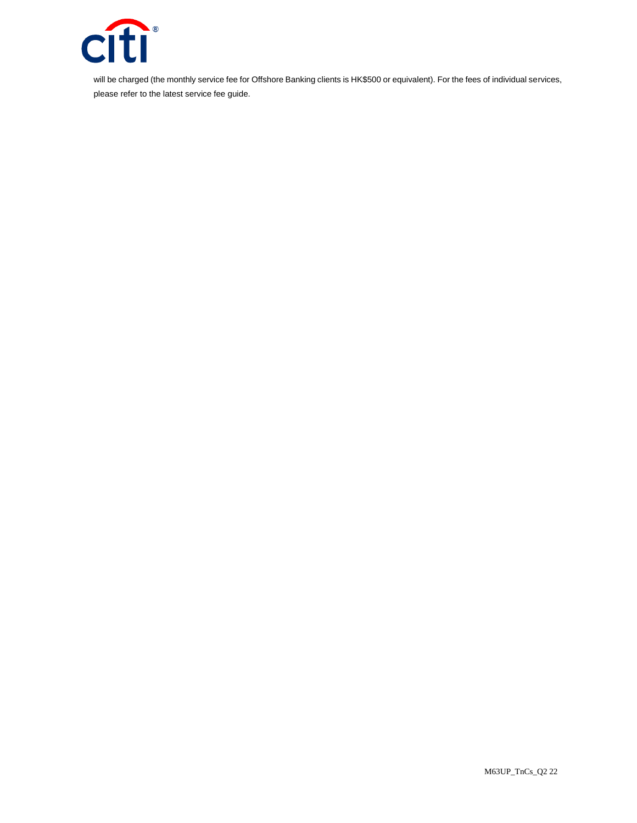

will be charged (the monthly service fee for Offshore Banking clients is HK\$500 or equivalent). For the fees of individual services, please refer to the latest service fee guide.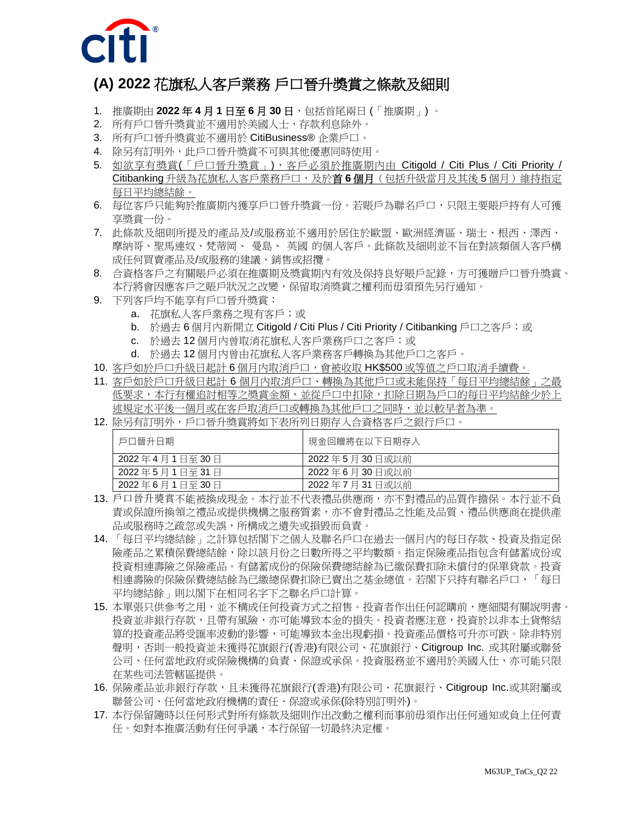

## **(A) 2022** 花旗私人客戶業務 戶口晉升獎賞之條款及細則

- 1. 推廣期由 **2022** 年 **4** 月 **1** 日至 **6** 月 **30** 日,包括首尾兩日 (「推廣期」) 。
- 2. 所有戶口晉升獎賞並不適用於美國人士,存款利息除外。
- 3. 所有戶口晉升獎賞並不適用於 CitiBusiness® 企業戶口。
- 4. 除另有訂明外,此戶口晉升獎賞不可與其他優惠同時使用。
- 5. 如欲享有獎賞(「戶口晉升獎賞」),客戶必須於推廣期內由 Citigold / Citi Plus / Citi Priority / Citibanking 升級為花旗私人客戶業務戶口,及於首 **6** 個月(包括升級當月及其後 5 個月)維持指定 每日平均總結餘。
- 6. 每位客戶只能夠於推廣期內獲享戶口晉升獎賞一份。若賬戶為聯名戶口,只限主要賬戶持有人可獲 享獎賞一份。
- 7. 此條款及細則所提及的產品及/或服務並不適用於居住於歐盟、歐洲經濟區、瑞士、根西、澤西、 摩納哥、聖馬連奴、梵蒂岡、 曼島、 英國 的個人客戶。此條款及細則並不旨在對該類個人客戶構 成任何買賣產品及/或服務的建議、銷售或招攬。
- 8. 合資格客戶之有關賬戶必須在推廣期及獎賞期內有效及保持良好賬戶記錄,方可獲贈戶口晉升獎賞。 本行將會因應客戶之賬戶狀況之改變,保留取消獎賞之權利而毋須預先另行通知。
- 9. 下列客戶均不能享有戶口晉升獎賞:
	- a. 花旗私人客戶業務之現有客戶;或
	- b. 於過去 6 個月內新開立 Citigold / Citi Plus / Citi Priority / Citibanking 戶口之客戶;或
	- c. 於過去 12 個月內曾取消花旗私人客戶業務戶口之客戶;或
	- d. 於過去 12 個月內曾由花旗私人客戶業務客戶轉換為其他戶口之客戶。
- 10. 客戶如於戶口升級日起計 6 個月內取消戶口,會被收取 HK\$500 或等值之戶口取消手續費。
- 11. 客戶如於戶口升級日起計 6 個月內取消戶口、轉換為其他戶口或未能保持「每日平均總結餘」之最 低要求,本行有權追討相等之獎賞金額,並從戶口中扣除,扣除日期為戶口的每日平均結餘少於上 述規定水平後一個月或在客戶取消戶口或轉換為其他戶口之同時,並以較早者為準。
- 12. 除另有訂明外,戶口晉升獎賞將如下表所列日期存入合資格客戶之銀行戶口。

| 戶口晉升日期        | 現金回贈將在以下日期存入  |
|---------------|---------------|
| 2022年4月1日至30日 | 2022年5月30日或以前 |
| 2022年5月1日至31日 | 2022年6月30日或以前 |
| 2022年6月1日至30日 | 2022年7月31日或以前 |

- 13. 戶口晉升獎賞不能被換成現金。本行並不代表禮品供應商,亦不對禮品的品質作擔保。本行並不負 責或保證所換領之禮品或提供機構之服務質素,亦不會對禮品之性能及品質、禮品供應商在提供產 品或服務時之疏忽或失誤,所構成之遺失或損毀而負責。
- 14. 「每日平均總結餘」之計算包括閣下之個人及聯名戶口在過去一個月內的每日存款、投資及指定保 險產品之累積保費總結餘,除以該月份之日數所得之平均數額。指定保險產品指包含有儲蓄成份或 投資相連壽險之保險產品。有儲蓄成份的保險保費總結餘為已繳保費扣除未償付的保單貸款。投資 相連壽險的保險保費總結餘為已繳總保費扣除已賣出之基金總值。若閣下只持有聯名戶口,「每日 平均總結餘」則以閣下在相同名字下之聯名戶口計算。
- 15. 本單張只供參考之用,並不構成任何投資方式之招售。投資者作出任何認購前,應細閱有關說明書。 投資並非銀行存款,且帶有風險,亦可能導致本金的損失。投資者應注意,投資於以非本土貨幣結 算的投資產品將受匯率波動的影響,可能導致本金出現虧損。投資產品價格可升亦可跌。除非特別 聲明,否則一般投資並未獲得花旗銀行(香港)有限公司、花旗銀行、Citigroup Inc. 或其附屬或聯營 公司、任何當地政府或保險機構的負責、保證或承保。投資服務並不適用於美國人仕,亦可能只限 在某些司法管轄區提供。
- 16. 保險產品並非銀行存款,且未獲得花旗銀行(香港)有限公司、花旗銀行、Citigroup Inc.或其附屬或 聯營公司、任何當地政府機構的責任、保證或承保(除特別訂明外)。
- 17. 本行保留隨時以任何形式對所有條款及細則作出改動之權利而事前毋須作出任何通知或負上任何責 任。如對本推廣活動有任何爭議,本行保留一切最終決定權。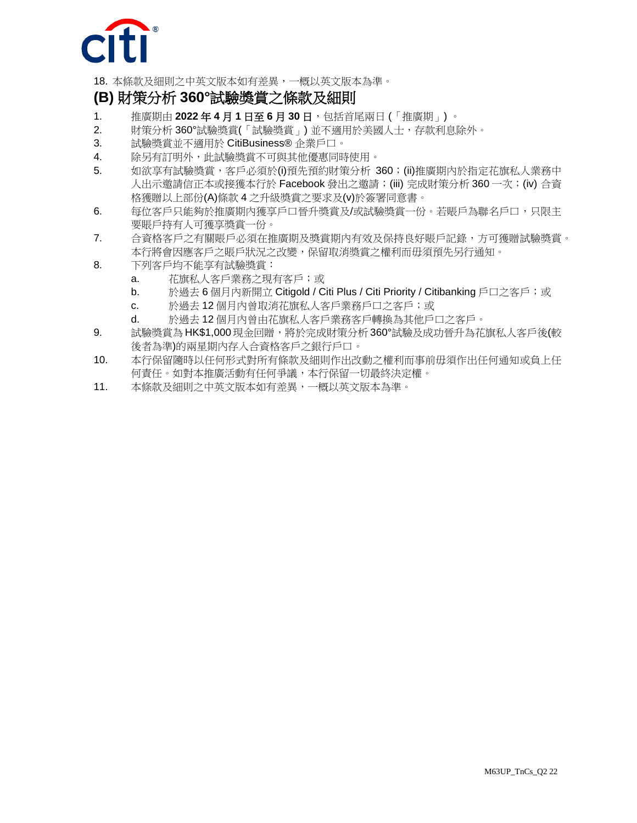

18. 本條款及細則之中英文版本如有差異,一概以英文版本為準。

## **(B)** 財策分析 **360°**試驗獎賞之條款及細則

- 1. 推廣期由 **2022** 年 **4** 月 **1** 日至 **6** 月 **30** 日,包括首尾兩日 (「推廣期」) 。
- 2. 財策分析 360°試驗獎賞(「試驗獎賞」) 並不適用於美國人士,存款利息除外。
- 3. 試驗獎賞並不適用於 CitiBusiness® 企業戶口。
- 4. 除另有訂明外,此試驗獎賞不可與其他優惠同時使用。
- 5. 如欲享有試驗獎賞,客戶必須於(i)預先預約財策分析 360;(ii)推廣期內於指定花旗私人業務中 人出示邀請信正本或接獲本行於 Facebook 發出之邀請;(iii) 完成財策分析 360 一次;(iv) 合資 格獲贈以上部份(A)條款 4 之升級獎賞之要求及(v)於簽署同意書。
- 6. 每位客戶只能夠於推廣期內獲享戶口晉升獎賞及/或試驗獎賞一份。若賬戶為聯名戶口,只限主 要賬戶持有人可獲享獎賞一份。
- 7. 合資格客戶之有關賬戶必須在推廣期及獎賞期內有效及保持良好賬戶記錄,方可獲贈試驗獎賞。 本行將會因應客戶之賬戶狀況之改變,保留取消獎賞之權利而毋須預先另行通知。
- 8. 下列客戶均不能享有試驗獎賞:
	- a. 花旗私人客戶業務之現有客戶;或
	- b. 於過去 6 個月內新開立 Citigold / Citi Plus / Citi Priority / Citibanking 戶口之客戶;或
	- c. 於過去 12 個月內曾取消花旗私人客戶業務戶口之客戶;或
	- d. 於過去 12 個月內曾由花旗私人客戶業務客戶轉換為其他戶口之客戶。
- 9. 試驗獎賞為 HK\$1,000 現金回贈,將於完成財策分析 360°試驗及成功晉升為花旗私人客戶後(較 後者為準)的兩星期內存入合資格客戶之銀行戶口。
- 10. 本行保留隨時以任何形式對所有條款及細則作出改動之權利而事前毋須作出任何通知或負上任 何責任。如對本推廣活動有任何爭議,本行保留一切最終決定權。
- 11. 本條款及細則之中英文版本如有差異,一概以英文版本為準。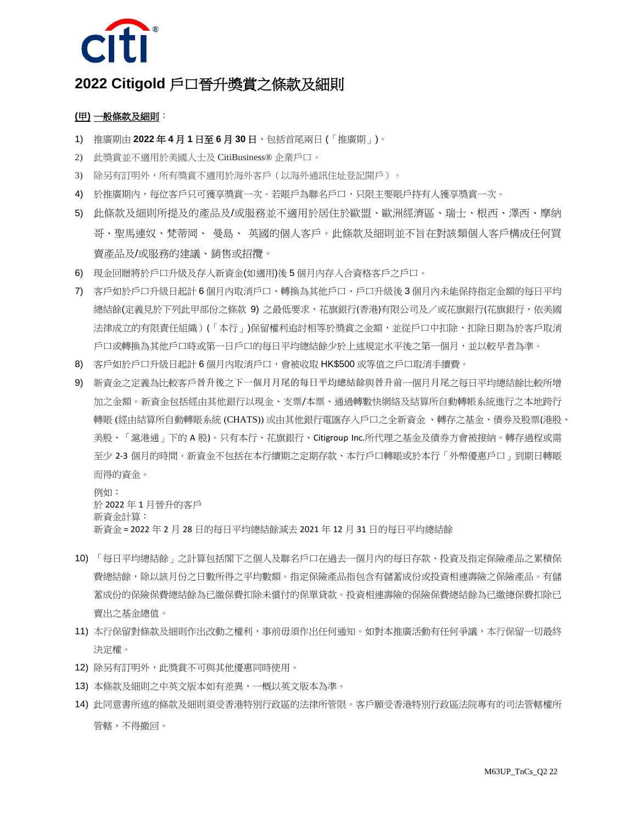

### **2022 Citigold** 戶口晉升獎賞之條款及細則

#### **(**甲**)** 一般條款及細則:

- 1) 推廣期由 **2022** 年 **4** 月 **1** 日至 **6** 月 **30** 日,包括首尾兩日 (「推廣期」)。
- 2) 此獎賞並不適用於美國人士及 CitiBusiness® 企業戶口。
- 3) 除另有訂明外,所有獎賞不適用於海外客戶(以海外通訊住址登記開戶)。
- 4) 於推廣期內,每位客戶只可獲享獎賞一次。若賬戶為聯名戶口,只限主要賬戶持有人獲享獎賞一次。
- 5) 此條款及細則所提及的產品及/或服務並不適用於居住於歐盟、歐洲經濟區、瑞士、根西、澤西、摩納 哥、聖馬連奴、梵蒂岡、 曼島、 英國的個人客戶。此條款及細則並不旨在對該類個人客戶構成任何買 賣產品及/或服務的建議、銷售或招攬。
- 6) 現金回贈將於戶口升級及存入新資金(如適用)後 5 個月內存入合資格客戶之戶口。
- 7) 客戶如於戶口升級日起計 6 個月內取消戶口、轉換為其他戶口、戶口升級後 3 個月內未能保持指定金額的每日平均 總結餘(定義見於下列此甲部份之條款 9) 之最低要求,花旗銀行(香港)有限公司及/或花旗銀行(花旗銀行,依美國 法律成立的有限責任組織)(「本行」)保留權利追討相等於獎賞之金額,並從戶口中扣除,扣除日期為於客戶取消 戶口或轉換為其他戶口時或第一日戶口的每日平均總結餘少於上述規定水平後之第一個月,並以較早者為準。
- 8) 客戶如於戶口升級日起計 6 個月內取消戶口,會被收取 HK\$500 或等值之戶口取消手續費。
- 9) 新資金之定義為比較客戶晉升後之下一個月月尾的每日平均總結餘與晉升前一個月月尾之每日平均總結餘比較所增 加之金額。新資金包括經由其他銀行以現金、支票/本票、通過轉數快網絡及結算所自動轉帳系統進行之本地跨行 轉賬 (經由結算所自動轉賬系統 (CHATS)) 或由其他銀行電匯存入戶口之全新資金 、轉存之基金、債券及股票(港股、 美股、「滬港通」下的 A 股)。只有本行、花旗銀行、Citigroup Inc.所代理之基金及債券方會被接納。轉存過程或需 至少 2-3 個月的時間。新資金不包括在本行續期之定期存款、本行戶口轉賬或於本行「外幣優惠戶口」到期日轉賬 而得的資金。

例如: 於 2022 年 1 月晉升的客戶 新資金計算: 新資金 = 2022 年 2 月 28 日的每日平均總結餘減去 2021 年 12 月 31 日的每日平均總結餘

- 10) 「每日平均總結餘」之計算包括閣下之個人及聯名戶口在過去一個月內的每日存款、投資及指定保險產品之累積保 費總結餘,除以該月份之日數所得之平均數額。指定保險產品指包含有儲蓄成份或投資相連壽險之保險產品。有儲 蓄成份的保險保費總結餘為已繳保費扣除未償付的保單貸款。投資相連壽險的保險保費總結餘為已繳總保費扣除已 賣出之基金總值。
- 11) 本行保留對條款及細則作出改動之權利,事前毋須作出任何通知。如對本推廣活動有任何爭議,本行保留一切最終 決定權。
- 12) 除另有訂明外,此獎賞不可與其他優惠同時使用。
- 13) 本條款及細則之中英文版本如有差異,一概以英文版本為準。
- 14) 此同意書所述的條款及細則須受香港特別行政區的法律所管限。客戶願受香港特別行政區法院專有的司法管轄權所 管轄,不得撤回。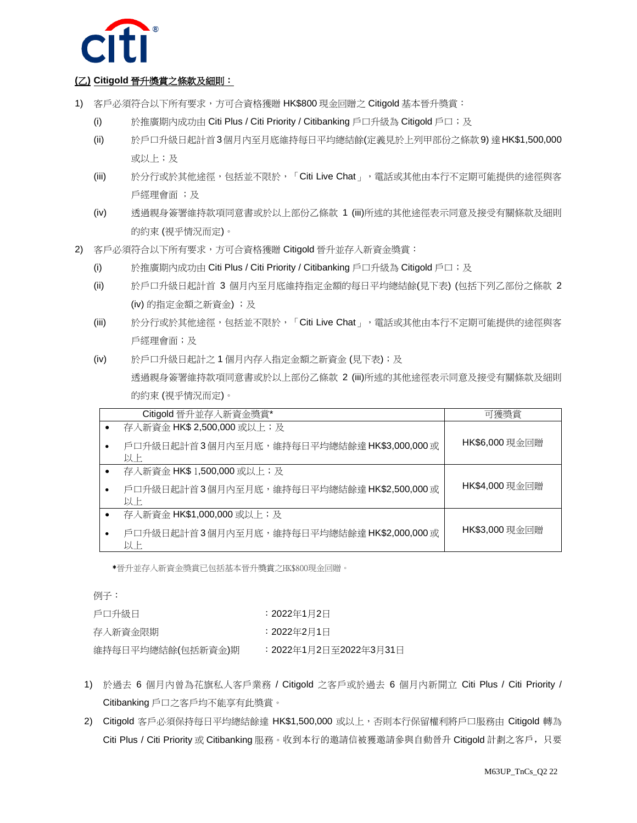

#### **(**乙**) Citigold** 晉升獎賞之條款及細則:

- 1) 客戶必須符合以下所有要求,方可合資格獲贈 HK\$800 現金回贈之 Citigold 基本晉升獎賞:
	- (i) 於推廣期內成功由 Citi Plus / Citi Priority / Citibanking 戶口升級為 Citigold 戶口;及
	- (ii) 於戶口升級日起計首3個月內至月底維持每日平均總結餘(定義見於上列甲部份之條款9) 達HK\$1,500,000 或以上;及
	- (iii) 於分行或於其他途徑,包括並不限於,「Citi Live Chat」, 電話或其他由本行不定期可能提供的途徑與客 戶經理會面 ;及
	- (iv) 透過親身簽署維持款項同意書或於以上部份乙條款 1 (iii)所述的其他途徑表示同意及接受有關條款及細則 的約束 (視乎情況而定)。
- 2) 客戶必須符合以下所有要求,方可合資格獲贈 Citigold 晉升並存入新資金獎賞:
	- (i) 於推廣期內成功由 Citi Plus / Citi Priority / Citibanking 戶口升級為 Citigold 戶口;及
	- (ii) 於戶口升級日起計首 3 個月內至月底維持指定金額的每日平均總結餘(見下表) (包括下列乙部份之條款 2 (iv) 的指定金額之新資金) ;及
	- (iii) 於分行或於其他途徑,包括並不限於,「Citi Live Chat」, 電話或其他由本行不定期可能提供的途徑與客 戶經理會面;及
	- (iv) 於戶口升級日起計之 1 個月內存入指定金額之新資金 (見下表);及 透過親身簽署維持款項同意書或於以上部份乙條款 2 (iii)所述的其他途徑表示同意及接受有關條款及細則 的約束 (視乎情況而定)。

| Citigold 晉升並存入新資金獎賞*                             | 可獲獎當           |
|--------------------------------------------------|----------------|
| 存入新資金 HK\$ 2,500,000 或以上; 及                      |                |
| 戶口升級日起計首3個月內至月底,維持每日平均總結餘達 HK\$3,000,000或<br>以上  | HK\$6,000 現金回贈 |
| 存入新資金 HK\$ 1,500,000 或以上;及                       |                |
| 戶口升級日起計首3個月內至月底,維持每日平均總結餘達 HK\$2,500,000 或<br>以上 | HK\$4,000 現金回贈 |
| 存入新資金 HK\$1,000,000 或以上;及                        |                |
| 戶口升級日起計首3個月內至月底,維持每日平均總結餘達 HK\$2,000,000或<br>以上  | HK\$3,000 現金回贈 |

\*晉升並存入新資金獎賞已包括基本晉升獎賞之HK\$800現金回贈。

例子:

| 戶口升級日             | :2022年1月2日            |
|-------------------|-----------------------|
| 存入新資金限期           | :2022年2月1日            |
| 維持每日平均總結餘(包括新資金)期 | :2022年1月2日至2022年3月31日 |

- 1) 於過去 6 個月內曾為花旗私人客戶業務 / Citigold 之客戶或於過去 6 個月內新開立 Citi Plus / Citi Priority / Citibanking 戶口之客戶均不能享有此獎賞。
- 2) Citigold 客戶必須保持每日平均總結餘達 HK\$1,500,000 或以上,否則本行保留權利將戶口服務由 Citigold 轉為 Citi Plus / Citi Priority 或 Citibanking 服務。收到本行的邀請信被獲邀請參與自動晉升 Citigold 計劃之客戶,只要